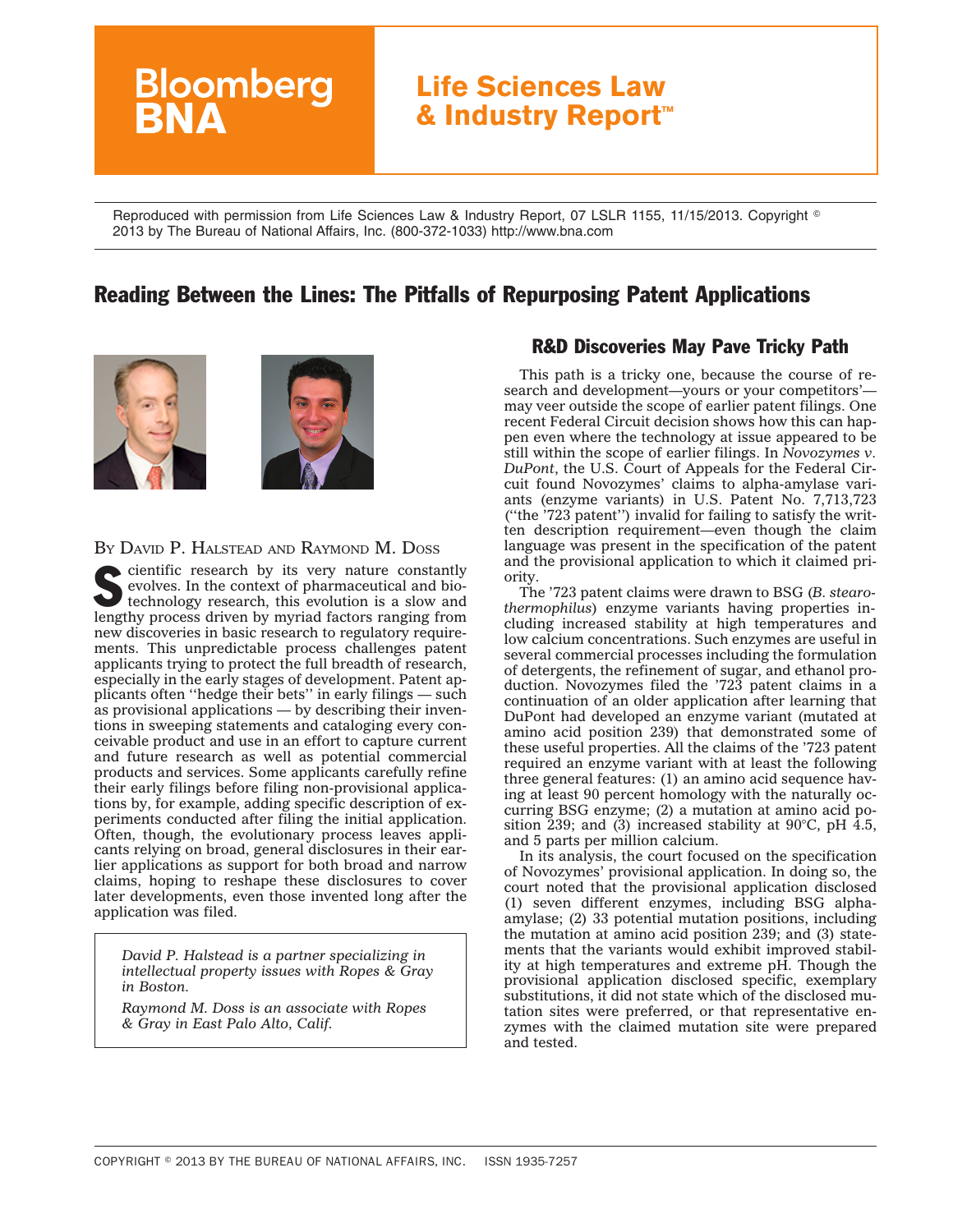# **Bloomberg Life Sciences Law & Industry Report™**

Reproduced with permission from Life Sciences Law & Industry Report, 07 LSLR 1155, 11/15/2013. Copyright  $^\circ$ 2013 by The Bureau of National Affairs, Inc. (800-372-1033) http://www.bna.com

## Reading Between the Lines: The Pitfalls of Repurposing Patent Applications



#### BY DAVID P. HALSTEAD AND RAYMOND M. DOSS

cientific research by its very nature constantly evolves. In the context of pharmaceutical and biotechnology research, this evolution is a slow and lengthy process driven by myriad factors ranging from new discoveries in basic research to regulatory requirements. This unpredictable process challenges patent applicants trying to protect the full breadth of research, especially in the early stages of development. Patent applicants often ''hedge their bets'' in early filings — such as provisional applications — by describing their inventions in sweeping statements and cataloging every conceivable product and use in an effort to capture current and future research as well as potential commercial products and services. Some applicants carefully refine their early filings before filing non-provisional applications by, for example, adding specific description of experiments conducted after filing the initial application. Often, though, the evolutionary process leaves applicants relying on broad, general disclosures in their earlier applications as support for both broad and narrow claims, hoping to reshape these disclosures to cover later developments, even those invented long after the application was filed.

*David P. Halstead is a partner specializing in intellectual property issues with Ropes & Gray in Boston.*

*Raymond M. Doss is an associate with Ropes & Gray in East Palo Alto, Calif.*

#### R&D Discoveries May Pave Tricky Path

This path is a tricky one, because the course of research and development—yours or your competitors' may veer outside the scope of earlier patent filings. One recent Federal Circuit decision shows how this can happen even where the technology at issue appeared to be still within the scope of earlier filings. In *Novozymes v. DuPont*, the U.S. Court of Appeals for the Federal Circuit found Novozymes' claims to alpha-amylase variants (enzyme variants) in U.S. Patent No. 7,713,723 (''the '723 patent'') invalid for failing to satisfy the written description requirement—even though the claim language was present in the specification of the patent and the provisional application to which it claimed priority.

The '723 patent claims were drawn to BSG (*B. stearothermophilus*) enzyme variants having properties including increased stability at high temperatures and low calcium concentrations. Such enzymes are useful in several commercial processes including the formulation of detergents, the refinement of sugar, and ethanol production. Novozymes filed the '723 patent claims in a continuation of an older application after learning that DuPont had developed an enzyme variant (mutated at amino acid position 239) that demonstrated some of these useful properties. All the claims of the '723 patent required an enzyme variant with at least the following three general features: (1) an amino acid sequence having at least 90 percent homology with the naturally occurring BSG enzyme; (2) a mutation at amino acid position 239; and (3) increased stability at 90 $^{\circ}$ C, pH 4.5, and 5 parts per million calcium.

In its analysis, the court focused on the specification of Novozymes' provisional application. In doing so, the court noted that the provisional application disclosed (1) seven different enzymes, including BSG alphaamylase; (2) 33 potential mutation positions, including the mutation at amino acid position 239; and (3) statements that the variants would exhibit improved stability at high temperatures and extreme pH. Though the provisional application disclosed specific, exemplary substitutions, it did not state which of the disclosed mutation sites were preferred, or that representative enzymes with the claimed mutation site were prepared and tested.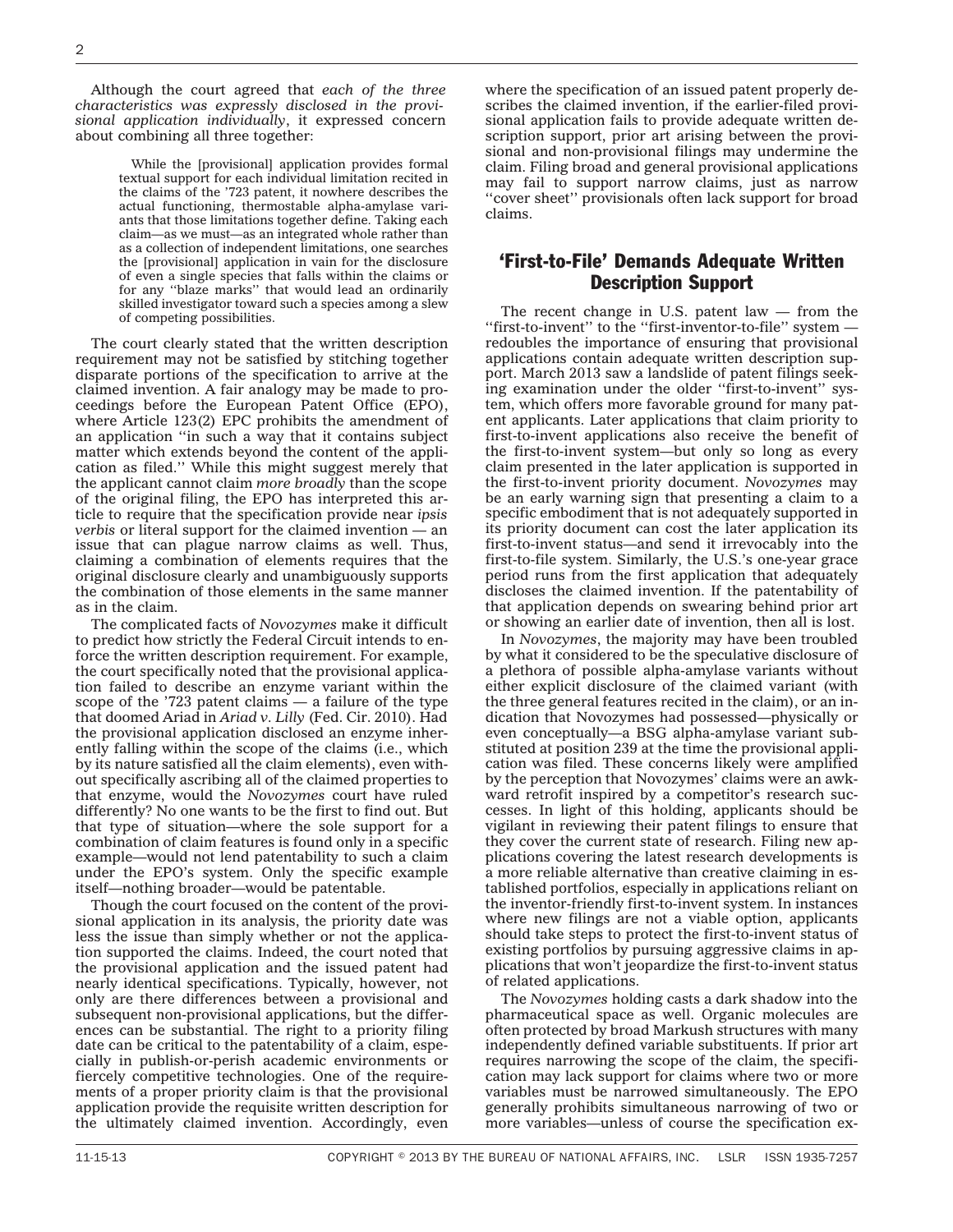Although the court agreed that *each of the three characteristics was expressly disclosed in the provisional application individually*, it expressed concern about combining all three together:

> While the [provisional] application provides formal textual support for each individual limitation recited in the claims of the '723 patent, it nowhere describes the actual functioning, thermostable alpha-amylase variants that those limitations together define. Taking each claim—as we must—as an integrated whole rather than as a collection of independent limitations, one searches the [provisional] application in vain for the disclosure of even a single species that falls within the claims or for any ''blaze marks'' that would lead an ordinarily skilled investigator toward such a species among a slew of competing possibilities.

The court clearly stated that the written description requirement may not be satisfied by stitching together disparate portions of the specification to arrive at the claimed invention. A fair analogy may be made to proceedings before the European Patent Office (EPO), where Article 123(2) EPC prohibits the amendment of an application ''in such a way that it contains subject matter which extends beyond the content of the application as filed.'' While this might suggest merely that the applicant cannot claim *more broadly* than the scope of the original filing, the EPO has interpreted this article to require that the specification provide near *ipsis verbis* or literal support for the claimed invention — an issue that can plague narrow claims as well. Thus, claiming a combination of elements requires that the original disclosure clearly and unambiguously supports the combination of those elements in the same manner as in the claim.

The complicated facts of *Novozymes* make it difficult to predict how strictly the Federal Circuit intends to enforce the written description requirement. For example, the court specifically noted that the provisional application failed to describe an enzyme variant within the scope of the '723 patent claims — a failure of the type that doomed Ariad in *Ariad v. Lilly* (Fed. Cir. 2010). Had the provisional application disclosed an enzyme inherently falling within the scope of the claims (i.e., which by its nature satisfied all the claim elements), even without specifically ascribing all of the claimed properties to that enzyme, would the *Novozymes* court have ruled differently? No one wants to be the first to find out. But that type of situation—where the sole support for a combination of claim features is found only in a specific example—would not lend patentability to such a claim under the EPO's system. Only the specific example itself—nothing broader—would be patentable.

Though the court focused on the content of the provisional application in its analysis, the priority date was less the issue than simply whether or not the application supported the claims. Indeed, the court noted that the provisional application and the issued patent had nearly identical specifications. Typically, however, not only are there differences between a provisional and subsequent non-provisional applications, but the differences can be substantial. The right to a priority filing date can be critical to the patentability of a claim, especially in publish-or-perish academic environments or fiercely competitive technologies. One of the requirements of a proper priority claim is that the provisional application provide the requisite written description for the ultimately claimed invention. Accordingly, even

where the specification of an issued patent properly describes the claimed invention, if the earlier-filed provisional application fails to provide adequate written description support, prior art arising between the provisional and non-provisional filings may undermine the claim. Filing broad and general provisional applications may fail to support narrow claims, just as narrow ''cover sheet'' provisionals often lack support for broad claims.

#### 'First-to-File' Demands Adequate Written Description Support

The recent change in U.S. patent law — from the "first-to-invent" to the "first-inventor-to-file" system redoubles the importance of ensuring that provisional applications contain adequate written description support. March 2013 saw a landslide of patent filings seeking examination under the older ''first-to-invent'' system, which offers more favorable ground for many patent applicants. Later applications that claim priority to first-to-invent applications also receive the benefit of the first-to-invent system—but only so long as every claim presented in the later application is supported in the first-to-invent priority document. *Novozymes* may be an early warning sign that presenting a claim to a specific embodiment that is not adequately supported in its priority document can cost the later application its first-to-invent status—and send it irrevocably into the first-to-file system. Similarly, the U.S.'s one-year grace period runs from the first application that adequately discloses the claimed invention. If the patentability of that application depends on swearing behind prior art or showing an earlier date of invention, then all is lost.

In *Novozymes*, the majority may have been troubled by what it considered to be the speculative disclosure of a plethora of possible alpha-amylase variants without either explicit disclosure of the claimed variant (with the three general features recited in the claim), or an indication that Novozymes had possessed—physically or even conceptually—a BSG alpha-amylase variant substituted at position 239 at the time the provisional application was filed. These concerns likely were amplified by the perception that Novozymes' claims were an awkward retrofit inspired by a competitor's research successes. In light of this holding, applicants should be vigilant in reviewing their patent filings to ensure that they cover the current state of research. Filing new applications covering the latest research developments is a more reliable alternative than creative claiming in established portfolios, especially in applications reliant on the inventor-friendly first-to-invent system. In instances where new filings are not a viable option, applicants should take steps to protect the first-to-invent status of existing portfolios by pursuing aggressive claims in applications that won't jeopardize the first-to-invent status of related applications.

The *Novozymes* holding casts a dark shadow into the pharmaceutical space as well. Organic molecules are often protected by broad Markush structures with many independently defined variable substituents. If prior art requires narrowing the scope of the claim, the specification may lack support for claims where two or more variables must be narrowed simultaneously. The EPO generally prohibits simultaneous narrowing of two or more variables—unless of course the specification ex